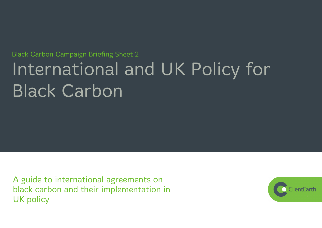# **Black Carbon Campaign Briefing Sheet 2** International and UK Policy for **Black Carbon**

A guide to international agreements on black carbon and their implementation in **UK policy** 

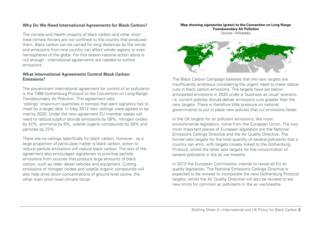### **Why Do We Need International Agreements for Black Carbon?**

The climate and Health impacts of black carbon and other short lived climate forcers are not confined to the country that produced them. Black carbon can be carried for long distances by the winds, and emissions from one country can affect whole regions or even hemispheres of the globe. For this reason national action alone is not enough - international agreements are needed to control emissions.

#### **What International Agreements Control Black Carbon Emissions?**

The pre-eminent international agreement for control of air pollutants is the 1999 Gothenburg Protocol to the Convention on Long-Range Transboundary Air Pollution. This agreement sets 'ceilings' (maximum quantities in tonnes) that each signatory has to meet by a target date. In May 2012 new ceilings were agreed to be met by 2020. Under the new agreement EU member states will need to reduce sulphur dioxide emissions by 59%, nitrogen oxides by 42%, ammonia by 6%, volatile organic compounds by 28% and particles by 22%.

There are no ceilings specifically for black carbon, however , as a large proportion of particulate matter is black carbon, action to reduce particle emissions will reduce black carbon. The text of the agreement also encourages signatories to prioritise particle emissions from sources that produce large amounts of black carbon, such as older diesel vehicles and equipment. Cutting emissions of nitrogen oxides and volatile organic compounds will also help drive down concentrations of ground level ozone, the other main short lived climate forcer.

#### **Map showing signatories (green) to the Convention on Long Range Transboundary Air Pollution**

Source—Wikipedia



The Black Carbon Campaign believes that the new targets are insufficiently ambitious considering the urgent need to make radical cuts in black carbon emissions. The targets have set below anticipated emissions in 2020 under a 'business as usual' scenario, i.e. current policies should deliver emissions cuts greater than the new targets. There is therefore little pressure on national governments to put in place new policies that cut emissions faster.

In the UK targets for air pollutant emissions, like most environmental legislation, come from the European Union. The two most important pieces of European legislation are the National Emissions Ceilings Directive and the Air Quality Directive. The former sets targets for the total quantity of several pollutants that a country can emit, with targets closely linked to the Gothenburg Protocol, whilst the latter sets targets for the concentration of several pollutants in the air we breathe.

In 2013 the European Commission intends to revise all EU air quality legislation. The National Emissions Ceilings Directive is expected to be revised to incorporate the new Gothenburg Protocol targets, whilst the Air Quality Directive will also be revised to set new limits for common air pollutants in the air we breathe.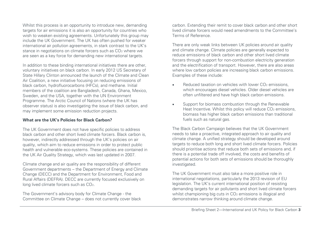Whilst this process is an opportunity to introduce new, demanding targets for air emissions it is also an opportunity for countries who wish to weaken existing agreements. Unfortunately this group may include the UK Government. The UK has often pushed for weaker international air pollution agreements, in stark contrast to the UK's stance in negotiations on climate forcers such as CO<sub>2</sub> where we are seen as a key force for demanding new international targets.

In addition to these binding international initiatives there are other, voluntary initiatives on black carbon. In early 2012 US Secretary of State Hillary Clinton announced the launch of the Climate and Clean Air Coalition, a new initiative focusing on reducing emissions of black carbon, hydrofluorocarbons (HFCs), and methane. Initial members of the coalition are Bangladesh, Canada, Ghana, Mexico, Sweden, and the USA, together with the UN Environment Programme. The Arctic Council of Nations (where the UK has observer status) is also investigating the issue of black carbon, and may implement some emission reduction projects.

#### **What are the UK's Policies for Black Carbon?**

The UK Government does not have specific policies to address black carbon and other short lived climate forcers. Black carbon is, however, indirectly addressed through the UK's policies on air quality, which aim to reduce emissions in order to protect public health and vulnerable eco-systems. These policies are contained in the UK Air Quality Strategy, which was last updated in 2007.

Climate change and air quality are the responsibility of different Government departments – the Department of Energy and Climate Change (DECC) and the Department for Environment, Food and Rural Affairs (DEFRA). DECC are currently focused exclusively on long lived climate forcers such as CO2.

The Government's advisory body for Climate Change - the Committee on Climate Change – does not currently cover black carbon. Extending their remit to cover black carbon and other short lived climate forcers would need amendments to the Committee's Terms of Reference.

There are only weak links between UK policies around air quality and climate change. Climate policies are generally expected to reduce emissions of black carbon and other short lived climate forcers through support for non-combustion electricity generation and the electrification of transport. However, there are also areas where low carbon policies are increasing black carbon emissions. Examples of these include:

- Reduced taxation on vehicles with lower CO<sub>2</sub> emissions. which encourages diesel vehicles. Older diesel vehicles are often unfiltered and have high black carbon emissions.
- Support for biomass combustion through the Renewable Heat Incentive. Whilst this policy will reduce CO<sub>2</sub> emissions, biomass has higher black carbon emissions than traditional fuels such as natural gas.

The Black Carbon Campaign believes that the UK Government needs to take a proactive, integrated approach to air quality and climate change. A unified strategy should be developed around targets to reduce both long and short lived climate forcers. Policies should prioritise actions that reduce both sets of emissions and, if there is a potential trade off involved, the costs and benefits of potential actions for both sets of emissions should be thoroughly investigated.

The UK Government must also take a more positive role in international negotiations, particularly the 2013 revision of EU legislation. The UK's current international position of resisting demanding targets for air pollutants and short lived climate forcers whilst championing big cuts in CO<sub>2</sub> emissions is illogical and demonstrates narrow thinking around climate change.